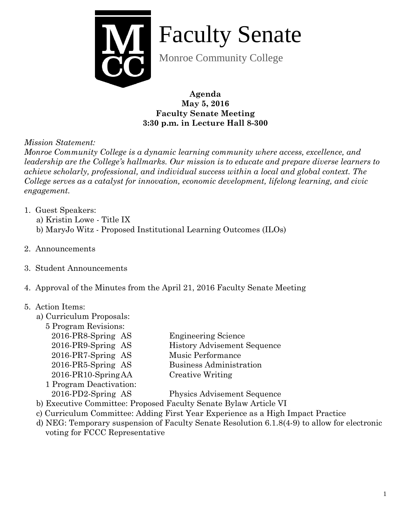

Faculty Senate

Monroe Community College

**Agenda May 5, 2016 Faculty Senate Meeting 3:30 p.m. in Lecture Hall 8-300**

*Mission Statement:* 

*Monroe Community College is a dynamic learning community where access, excellence, and leadership are the College's hallmarks. Our mission is to educate and prepare diverse learners to achieve scholarly, professional, and individual success within a local and global context. The College serves as a catalyst for innovation, economic development, lifelong learning, and civic engagement.*

- 1. Guest Speakers:
	- a) Kristin Lowe Title IX
	- b) MaryJo Witz Proposed Institutional Learning Outcomes (ILOs)
- 2. Announcements
- 3. Student Announcements
- 4. Approval of the Minutes from the April 21, 2016 Faculty Senate Meeting

## 5. Action Items:

a) Curriculum Proposals:

| 5 Program Revisions: |  |
|----------------------|--|
|----------------------|--|

| 2016-PR8-Spring AS      | <b>Engineering Science</b>         |
|-------------------------|------------------------------------|
| 2016-PR9-Spring AS      | <b>History Advisement Sequence</b> |
| 2016-PR7-Spring AS      | Music Performance                  |
| 2016-PR5-Spring AS      | Business Administration            |
| 2016-PR10-SpringAA      | Creative Writing                   |
| 1 Program Deactivation: |                                    |
| 2016-PD2-Spring AS      | <b>Physics Advisement Sequence</b> |
|                         |                                    |

- b) Executive Committee: Proposed Faculty Senate Bylaw Article VI
- c) Curriculum Committee: Adding First Year Experience as a High Impact Practice
- d) NEG: Temporary suspension of Faculty Senate Resolution 6.1.8(4-9) to allow for electronic voting for FCCC Representative